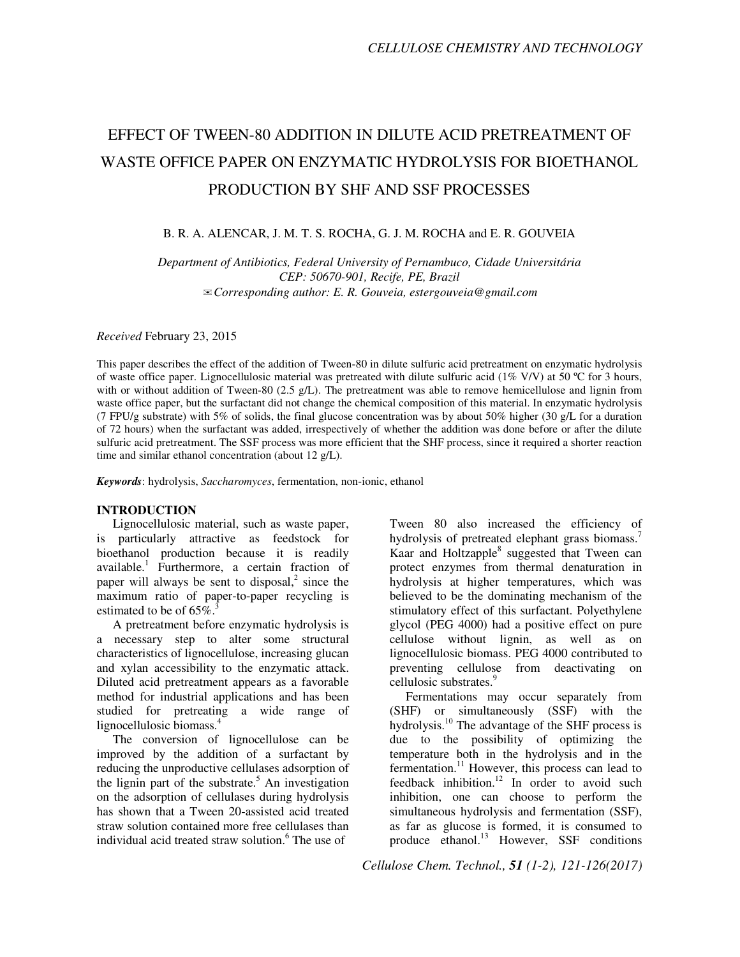# EFFECT OF TWEEN-80 ADDITION IN DILUTE ACID PRETREATMENT OF WASTE OFFICE PAPER ON ENZYMATIC HYDROLYSIS FOR BIOETHANOL PRODUCTION BY SHF AND SSF PROCESSES

# B. R. A. ALENCAR, J. M. T. S. ROCHA, G. J. M. ROCHA and E. R. GOUVEIA

*Department of Antibiotics, Federal University of Pernambuco, Cidade Universitária CEP: 50670-901, Recife, PE, Brazil*  ✉*Corresponding author: E. R. Gouveia, estergouveia@gmail.com* 

*Received* February 23, 2015

This paper describes the effect of the addition of Tween-80 in dilute sulfuric acid pretreatment on enzymatic hydrolysis of waste office paper. Lignocellulosic material was pretreated with dilute sulfuric acid (1% V/V) at 50 °C for 3 hours, with or without addition of Tween-80 (2.5 g/L). The pretreatment was able to remove hemicellulose and lignin from waste office paper, but the surfactant did not change the chemical composition of this material. In enzymatic hydrolysis (7 FPU/g substrate) with 5% of solids, the final glucose concentration was by about 50% higher (30 g/L for a duration of 72 hours) when the surfactant was added, irrespectively of whether the addition was done before or after the dilute sulfuric acid pretreatment. The SSF process was more efficient that the SHF process, since it required a shorter reaction time and similar ethanol concentration (about 12 g/L).

*Keywords*: hydrolysis, *Saccharomyces*, fermentation, non-ionic, ethanol

### **INTRODUCTION**

Lignocellulosic material, such as waste paper, is particularly attractive as feedstock for bioethanol production because it is readily available.<sup>1</sup> Furthermore, a certain fraction of paper will always be sent to disposal, $2$  since the maximum ratio of paper-to-paper recycling is estimated to be of  $65\%$ <sup>3</sup>

A pretreatment before enzymatic hydrolysis is a necessary step to alter some structural characteristics of lignocellulose, increasing glucan and xylan accessibility to the enzymatic attack. Diluted acid pretreatment appears as a favorable method for industrial applications and has been studied for pretreating a wide range of lignocellulosic biomass.<sup>4</sup>

The conversion of lignocellulose can be improved by the addition of a surfactant by reducing the unproductive cellulases adsorption of the lignin part of the substrate.<sup>5</sup> An investigation on the adsorption of cellulases during hydrolysis has shown that a Tween 20-assisted acid treated straw solution contained more free cellulases than individual acid treated straw solution.<sup>6</sup> The use of

Tween 80 also increased the efficiency of hydrolysis of pretreated elephant grass biomass.<sup>7</sup> Kaar and Holtzapple<sup>8</sup> suggested that Tween can protect enzymes from thermal denaturation in hydrolysis at higher temperatures, which was believed to be the dominating mechanism of the stimulatory effect of this surfactant. Polyethylene glycol (PEG 4000) had a positive effect on pure cellulose without lignin, as well as on lignocellulosic biomass. PEG 4000 contributed to preventing cellulose from deactivating on cellulosic substrates.<sup>9</sup>

Fermentations may occur separately from (SHF) or simultaneously (SSF) with the hydrolysis.<sup>10</sup> The advantage of the SHF process is due to the possibility of optimizing the temperature both in the hydrolysis and in the fermentation.<sup>11</sup> However, this process can lead to feedback inhibition.<sup>12</sup> In order to avoid such inhibition, one can choose to perform the simultaneous hydrolysis and fermentation (SSF), as far as glucose is formed, it is consumed to produce ethanol.<sup>13</sup> However, SSF conditions

*Cellulose Chem. Technol., 51 (1-2), 121-126(2017)*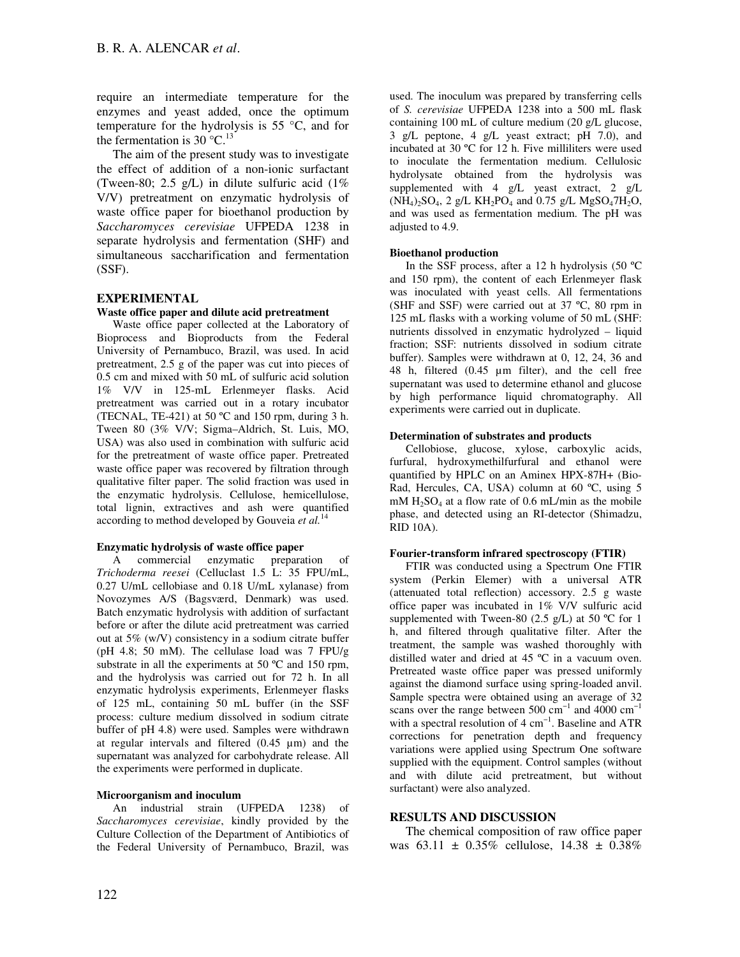require an intermediate temperature for the enzymes and yeast added, once the optimum temperature for the hydrolysis is 55 °C, and for the fermentation is 30  $^{\circ}$ C.<sup>13</sup>

The aim of the present study was to investigate the effect of addition of a non-ionic surfactant (Tween-80; 2.5 g/L) in dilute sulfuric acid  $(1\%$ V/V) pretreatment on enzymatic hydrolysis of waste office paper for bioethanol production by *Saccharomyces cerevisiae* UFPEDA 1238 in separate hydrolysis and fermentation (SHF) and simultaneous saccharification and fermentation (SSF).

# **EXPERIMENTAL**

# **Waste office paper and dilute acid pretreatment**

Waste office paper collected at the Laboratory of Bioprocess and Bioproducts from the Federal University of Pernambuco, Brazil, was used. In acid pretreatment, 2.5 g of the paper was cut into pieces of 0.5 cm and mixed with 50 mL of sulfuric acid solution 1% V/V in 125-mL Erlenmeyer flasks. Acid pretreatment was carried out in a rotary incubator (TECNAL, TE-421) at 50 ºC and 150 rpm, during 3 h. Tween 80 (3% V/V; Sigma–Aldrich, St. Luis, MO, USA) was also used in combination with sulfuric acid for the pretreatment of waste office paper. Pretreated waste office paper was recovered by filtration through qualitative filter paper. The solid fraction was used in the enzymatic hydrolysis. Cellulose, hemicellulose, total lignin, extractives and ash were quantified according to method developed by Gouveia *et al.*<sup>14</sup>

# **Enzymatic hydrolysis of waste office paper**

A commercial enzymatic preparation of *Trichoderma reesei* (Celluclast 1.5 L: 35 FPU/mL, 0.27 U/mL cellobiase and 0.18 U/mL xylanase) from Novozymes A/S (Bagsværd, Denmark) was used. Batch enzymatic hydrolysis with addition of surfactant before or after the dilute acid pretreatment was carried out at 5% (w/V) consistency in a sodium citrate buffer (pH 4.8; 50 mM). The cellulase load was 7 FPU/g substrate in all the experiments at 50 °C and 150 rpm, and the hydrolysis was carried out for 72 h. In all enzymatic hydrolysis experiments, Erlenmeyer flasks of 125 mL, containing 50 mL buffer (in the SSF process: culture medium dissolved in sodium citrate buffer of pH 4.8) were used. Samples were withdrawn at regular intervals and filtered  $(0.45 \mu m)$  and the supernatant was analyzed for carbohydrate release. All the experiments were performed in duplicate.

#### **Microorganism and inoculum**

An industrial strain (UFPEDA 1238) of *Saccharomyces cerevisiae*, kindly provided by the Culture Collection of the Department of Antibiotics of the Federal University of Pernambuco, Brazil, was

used. The inoculum was prepared by transferring cells of *S. cerevisiae* UFPEDA 1238 into a 500 mL flask containing 100 mL of culture medium (20 g/L glucose, 3 g/L peptone, 4 g/L yeast extract; pH 7.0), and incubated at 30 ºC for 12 h. Five milliliters were used to inoculate the fermentation medium. Cellulosic hydrolysate obtained from the hydrolysis was supplemented with 4 g/L yeast extract, 2 g/L  $(NH_4)_2SO_4$ , 2 g/L  $KH_2PO_4$  and 0.75 g/L MgSO<sub>4</sub>7H<sub>2</sub>O, and was used as fermentation medium. The pH was adjusted to 4.9.

#### **Bioethanol production**

In the SSF process, after a 12 h hydrolysis (50 ºC and 150 rpm), the content of each Erlenmeyer flask was inoculated with yeast cells. All fermentations (SHF and SSF) were carried out at 37 ºC, 80 rpm in 125 mL flasks with a working volume of 50 mL (SHF: nutrients dissolved in enzymatic hydrolyzed – liquid fraction; SSF: nutrients dissolved in sodium citrate buffer). Samples were withdrawn at 0, 12, 24, 36 and 48 h, filtered (0.45 µm filter), and the cell free supernatant was used to determine ethanol and glucose by high performance liquid chromatography. All experiments were carried out in duplicate.

#### **Determination of substrates and products**

Cellobiose, glucose, xylose, carboxylic acids, furfural, hydroxymethilfurfural and ethanol were quantified by HPLC on an Aminex HPX-87H+ (Bio-Rad, Hercules, CA, USA) column at 60 °C, using 5  $mM H<sub>2</sub>SO<sub>4</sub>$  at a flow rate of 0.6 mL/min as the mobile phase, and detected using an RI-detector (Shimadzu, RID 10A).

#### **Fourier-transform infrared spectroscopy (FTIR)**

FTIR was conducted using a Spectrum One FTIR system (Perkin Elemer) with a universal ATR (attenuated total reflection) accessory. 2.5 g waste office paper was incubated in 1% V/V sulfuric acid supplemented with Tween-80 (2.5 g/L) at 50  $\degree$ C for 1 h, and filtered through qualitative filter. After the treatment, the sample was washed thoroughly with distilled water and dried at 45 ºC in a vacuum oven. Pretreated waste office paper was pressed uniformly against the diamond surface using spring-loaded anvil. Sample spectra were obtained using an average of 32 scans over the range between 500  $cm^{-1}$  and 4000  $cm^{-1}$ with a spectral resolution of 4 cm<sup>-1</sup>. Baseline and ATR corrections for penetration depth and frequency variations were applied using Spectrum One software supplied with the equipment. Control samples (without and with dilute acid pretreatment, but without surfactant) were also analyzed.

# **RESULTS AND DISCUSSION**

The chemical composition of raw office paper was  $63.11 \pm 0.35\%$  cellulose,  $14.38 \pm 0.38\%$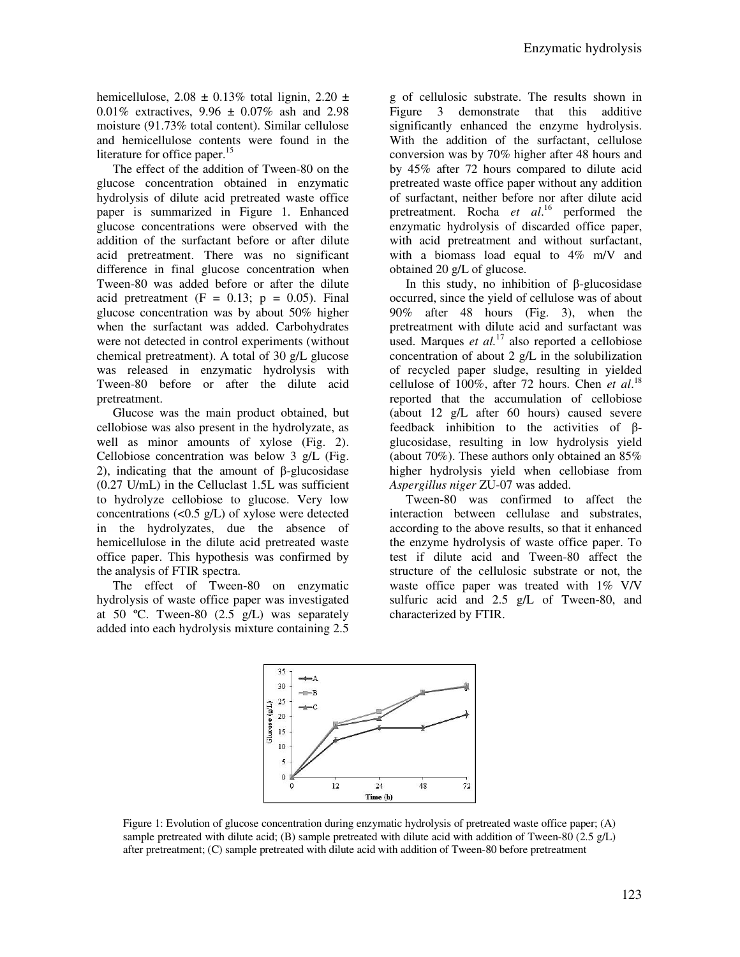hemicellulose,  $2.08 \pm 0.13\%$  total lignin,  $2.20 \pm 1.0\%$ 0.01% extractives,  $9.96 \pm 0.07\%$  ash and 2.98 moisture (91.73% total content). Similar cellulose and hemicellulose contents were found in the literature for office paper.<sup>15</sup>

The effect of the addition of Tween-80 on the glucose concentration obtained in enzymatic hydrolysis of dilute acid pretreated waste office paper is summarized in Figure 1. Enhanced glucose concentrations were observed with the addition of the surfactant before or after dilute acid pretreatment. There was no significant difference in final glucose concentration when Tween-80 was added before or after the dilute acid pretreatment  $(F = 0.13; p = 0.05)$ . Final glucose concentration was by about 50% higher when the surfactant was added. Carbohydrates were not detected in control experiments (without chemical pretreatment). A total of 30 g/L glucose was released in enzymatic hydrolysis with Tween-80 before or after the dilute acid pretreatment.

Glucose was the main product obtained, but cellobiose was also present in the hydrolyzate, as well as minor amounts of xylose (Fig. 2). Cellobiose concentration was below 3 g/L (Fig. 2), indicating that the amount of β-glucosidase (0.27 U/mL) in the Celluclast 1.5L was sufficient to hydrolyze cellobiose to glucose. Very low concentrations  $(<0.5 \text{ g/L})$  of xylose were detected in the hydrolyzates, due the absence of hemicellulose in the dilute acid pretreated waste office paper. This hypothesis was confirmed by the analysis of FTIR spectra.

The effect of Tween-80 on enzymatic hydrolysis of waste office paper was investigated at 50 °C. Tween-80  $(2.5 \text{ g/L})$  was separately added into each hydrolysis mixture containing 2.5

g of cellulosic substrate. The results shown in Figure 3 demonstrate that this additive significantly enhanced the enzyme hydrolysis. With the addition of the surfactant, cellulose conversion was by 70% higher after 48 hours and by 45% after 72 hours compared to dilute acid pretreated waste office paper without any addition of surfactant, neither before nor after dilute acid pretreatment. Rocha *et al*. <sup>16</sup> performed the enzymatic hydrolysis of discarded office paper, with acid pretreatment and without surfactant, with a biomass load equal to  $4\%$  m/V and obtained 20 g/L of glucose.

In this study, no inhibition of β-glucosidase occurred, since the yield of cellulose was of about 90% after 48 hours (Fig. 3), when the pretreatment with dilute acid and surfactant was used. Marques *et al.*<sup>17</sup> also reported a cellobiose concentration of about 2 g/L in the solubilization of recycled paper sludge, resulting in yielded cellulose of 100%, after 72 hours. Chen *et al*. 18 reported that the accumulation of cellobiose (about 12 g/L after 60 hours) caused severe feedback inhibition to the activities of βglucosidase, resulting in low hydrolysis yield (about 70%). These authors only obtained an 85% higher hydrolysis yield when cellobiase from *Aspergillus niger* ZU-07 was added.

Tween-80 was confirmed to affect the interaction between cellulase and substrates, according to the above results, so that it enhanced the enzyme hydrolysis of waste office paper. To test if dilute acid and Tween-80 affect the structure of the cellulosic substrate or not, the waste office paper was treated with 1% V/V sulfuric acid and 2.5 g/L of Tween-80, and characterized by FTIR.



Figure 1: Evolution of glucose concentration during enzymatic hydrolysis of pretreated waste office paper; (A) sample pretreated with dilute acid; (B) sample pretreated with dilute acid with addition of Tween-80 (2.5 g/L) after pretreatment; (C) sample pretreated with dilute acid with addition of Tween-80 before pretreatment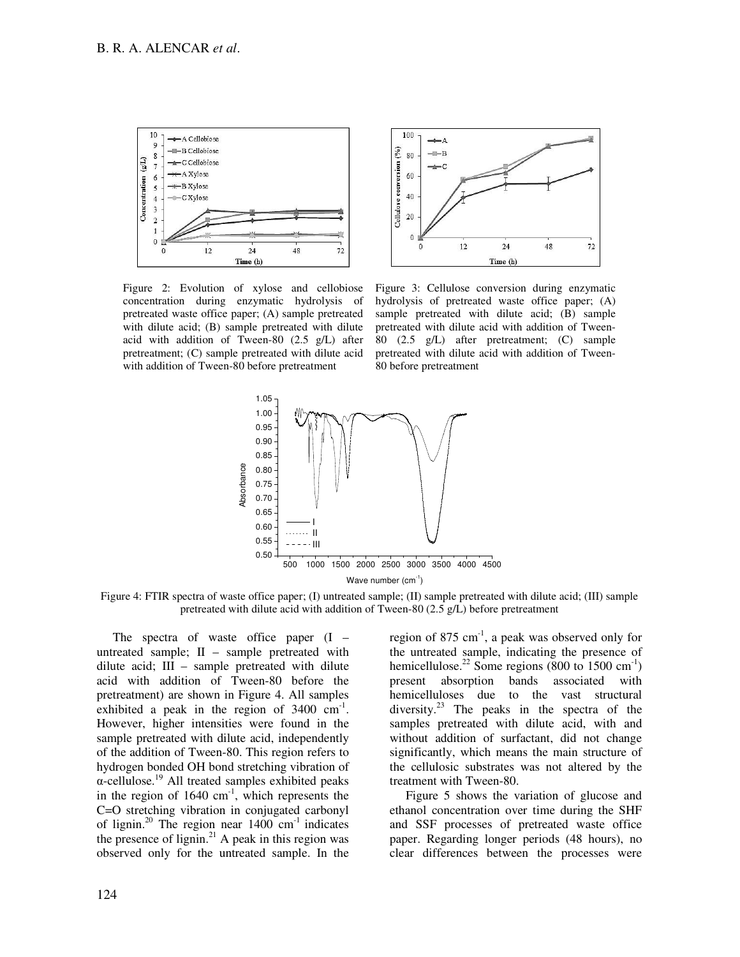

Figure 2: Evolution of xylose and cellobiose concentration during enzymatic hydrolysis of pretreated waste office paper; (A) sample pretreated with dilute acid; (B) sample pretreated with dilute acid with addition of Tween-80 (2.5 g/L) after pretreatment; (C) sample pretreated with dilute acid with addition of Tween-80 before pretreatment



Figure 3: Cellulose conversion during enzymatic hydrolysis of pretreated waste office paper; (A) sample pretreated with dilute acid; (B) sample pretreated with dilute acid with addition of Tween-80 (2.5 g/L) after pretreatment; (C) sample pretreated with dilute acid with addition of Tween-80 before pretreatment



Figure 4: FTIR spectra of waste office paper; (I) untreated sample; (II) sample pretreated with dilute acid; (III) sample pretreated with dilute acid with addition of Tween-80 (2.5 g/L) before pretreatment

The spectra of waste office paper (I – untreated sample; II – sample pretreated with dilute acid; III – sample pretreated with dilute acid with addition of Tween-80 before the pretreatment) are shown in Figure 4. All samples exhibited a peak in the region of  $3400 \text{ cm}^{-1}$ . However, higher intensities were found in the sample pretreated with dilute acid, independently of the addition of Tween-80. This region refers to hydrogen bonded OH bond stretching vibration of α-cellulose.<sup>19</sup> All treated samples exhibited peaks in the region of  $1640 \text{ cm}^{-1}$ , which represents the C=O stretching vibration in conjugated carbonyl of lignin.<sup>20</sup> The region near  $1400 \text{ cm}^{-1}$  indicates the presence of lignin.<sup>21</sup> A peak in this region was observed only for the untreated sample. In the

region of 875  $cm<sup>-1</sup>$ , a peak was observed only for the untreated sample, indicating the presence of hemicellulose.<sup>22</sup> Some regions (800 to 1500 cm<sup>-1</sup>) present absorption bands associated with hemicelluloses due to the vast structural diversity. $^{23}$  The peaks in the spectra of the samples pretreated with dilute acid, with and without addition of surfactant, did not change significantly, which means the main structure of the cellulosic substrates was not altered by the treatment with Tween-80.

Figure 5 shows the variation of glucose and ethanol concentration over time during the SHF and SSF processes of pretreated waste office paper. Regarding longer periods (48 hours), no clear differences between the processes were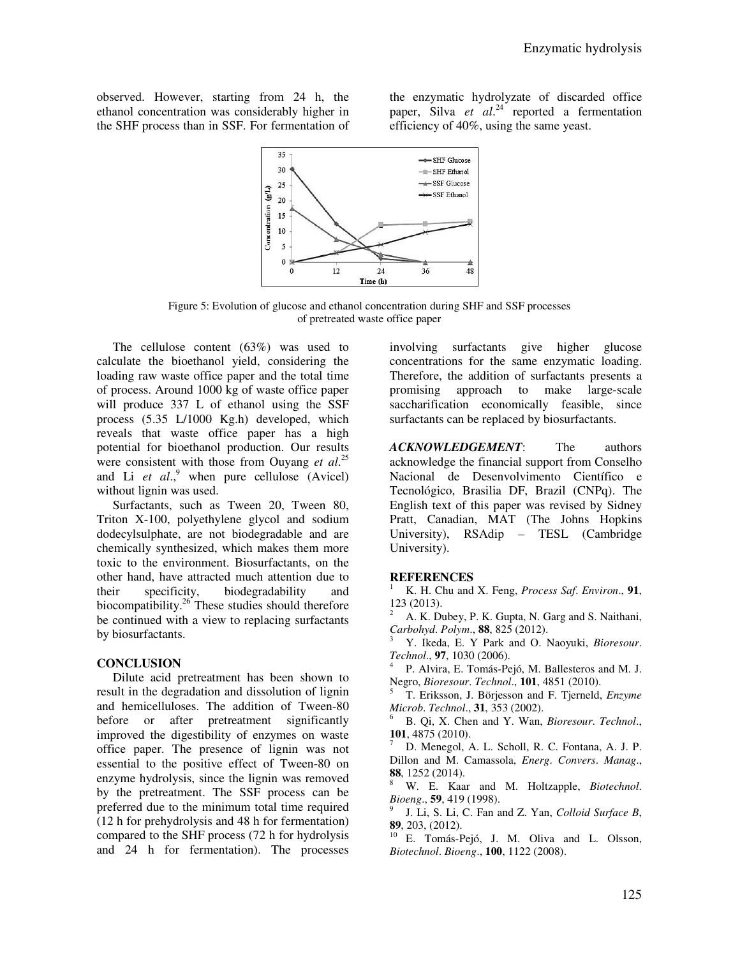observed. However, starting from 24 h, the ethanol concentration was considerably higher in the SHF process than in SSF. For fermentation of

the enzymatic hydrolyzate of discarded office paper, Silva *et al*. <sup>24</sup> reported a fermentation efficiency of 40%, using the same yeast.



Figure 5: Evolution of glucose and ethanol concentration during SHF and SSF processes of pretreated waste office paper

The cellulose content (63%) was used to calculate the bioethanol yield, considering the loading raw waste office paper and the total time of process. Around 1000 kg of waste office paper will produce 337 L of ethanol using the SSF process (5.35 L/1000 Kg.h) developed, which reveals that waste office paper has a high potential for bioethanol production. Our results were consistent with those from Ouyang *et al*. 25 and Li *et al.*,<sup>9</sup> when pure cellulose (Avicel) without lignin was used.

Surfactants, such as Tween 20, Tween 80, Triton X-100, polyethylene glycol and sodium dodecylsulphate, are not biodegradable and are chemically synthesized, which makes them more toxic to the environment. Biosurfactants, on the other hand, have attracted much attention due to their specificity, biodegradability and biocompatibility.<sup>26</sup> These studies should therefore be continued with a view to replacing surfactants by biosurfactants.

# **CONCLUSION**

Dilute acid pretreatment has been shown to result in the degradation and dissolution of lignin and hemicelluloses. The addition of Tween-80 before or after pretreatment significantly improved the digestibility of enzymes on waste office paper. The presence of lignin was not essential to the positive effect of Tween-80 on enzyme hydrolysis, since the lignin was removed by the pretreatment. The SSF process can be preferred due to the minimum total time required (12 h for prehydrolysis and 48 h for fermentation) compared to the SHF process (72 h for hydrolysis and 24 h for fermentation). The processes

involving surfactants give higher glucose concentrations for the same enzymatic loading. Therefore, the addition of surfactants presents a promising approach to make large-scale saccharification economically feasible, since surfactants can be replaced by biosurfactants.

*ACKNOWLEDGEMENT*: The authors acknowledge the financial support from Conselho Nacional de Desenvolvimento Científico e Tecnológico, Brasilia DF, Brazil (CNPq). The English text of this paper was revised by Sidney Pratt, Canadian, MAT (The Johns Hopkins University), RSAdip – TESL (Cambridge University).

# **REFERENCES**

<sup>1</sup> K. H. Chu and X. Feng, *Process Saf*. *Environ*., **91**, 123 (2013).

<sup>2</sup> A. K. Dubey, P. K. Gupta, N. Garg and S. Naithani, *Carbohyd*. *Polym*., **88**, 825 (2012).

<sup>3</sup> Y. Ikeda, E. Y Park and O. Naoyuki, *Bioresour*. *Technol*., **97**, 1030 (2006).

4 P. Alvira, E. Tomás-Pejó, M. Ballesteros and M. J. Negro, *Bioresour*. *Technol*., **101**, 4851 (2010).

<sup>5</sup> T. Eriksson, J. Börjesson and F. Tjerneld, *Enzyme Microb. Technol.*, **31**, 353 (2002).

<sup>6</sup> B. Qi, X. Chen and Y. Wan, *Bioresour*. *Technol*., **101**, 4875 (2010).

D. Menegol, A. L. Scholl, R. C. Fontana, A. J. P. Dillon and M. Camassola, *Energ*. *Convers*. *Manag*., **88**, 1252 (2014).

<sup>8</sup> W. E. Kaar and M. Holtzapple, *Biotechnol*. *Bioeng*., **59**, 419 (1998).

9 J. Li, S. Li, C. Fan and Z. Yan, *Colloid Surface B*, **89**, 203, (2012).

E. Tomás-Pejó, J. M. Oliva and L. Olsson, *Biotechnol*. *Bioeng*., **100**, 1122 (2008).